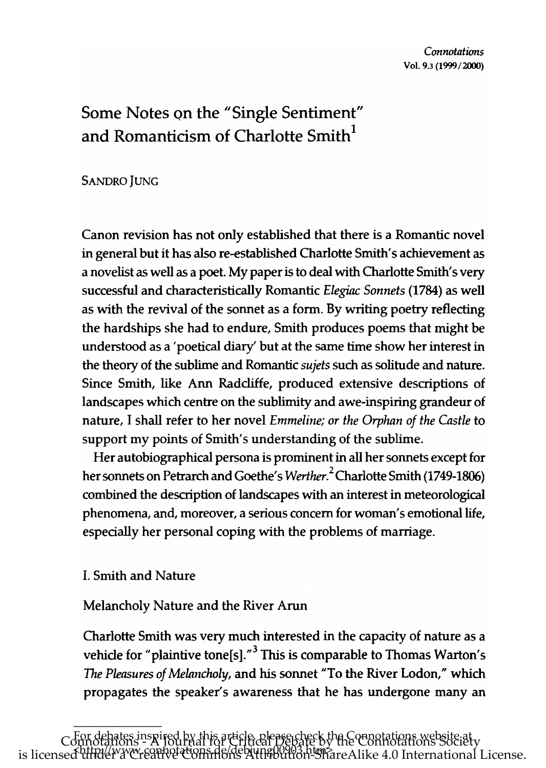# Some Notes on the "Single Sentiment" and Romanticism of Charlotte Smith<sup>1</sup>

**SANDRO JUNG** 

Canon revision has not only established that there is a Romantic novel in general but it has also re-established Charlotte Smith's achievement as a novelist as well as a poet. My paper is to deal with Charlotte Smith's very successful and characteristically Romantic *Elegiac Sonnets* (1784) as well as with the revival of the sonnet as a form. By writing poetry reflecting the hardships she had to endure, Smith produces poems that might be understood as a 'poetical diary' but at the same time show her interest in the theory of the sublime and Romantic *sujets* such as solitude and nature. Since Smith, like Ann Radcliffe, produced extensive descriptions of landscapes which centre on the sublimity and awe-inspiring grandeur of nature, I shall refer to her novel *Emmeline; or the Orphan of the Castle* to support my points of Smith's understanding of the sublime.

Her autobiographical persona is prominent in all her sonnets except for her sonnets on Petrarch and Goethe's W*erther*.<sup>2</sup> Charlotte Smith (1749-1806) combined the description of landscapes with an interest in meteorological phenomena, and, moreover, a serious concern for woman's emotional life, especially her personal coping with the problems of marriage.

## I. Smith and Nature

Melancholy Nature and the River Arun

Charlotte Smith was very much interested in the capacity of nature as a vehicle for "plaintive tone[s]." $3$  This is comparable to Thomas Warton's The *Pleasures of Melnncholy,* and his sonnet "To the River Lodon," which propagates the speaker's awareness that he has undergone many an

\_\_\_\_\_\_\_\_\_\_\_\_\_\_\_ For debates inspired by this article, please check the Connotations website at Connotations - A Journal for Critical Debate by the Connotations Society<br>is licensed attack www.soppatements.debyung00903.html is licensed <del>UIRI</del>&YYCh8affR&COfffifi6As Attrabution-ShareAlike 4.0 International License.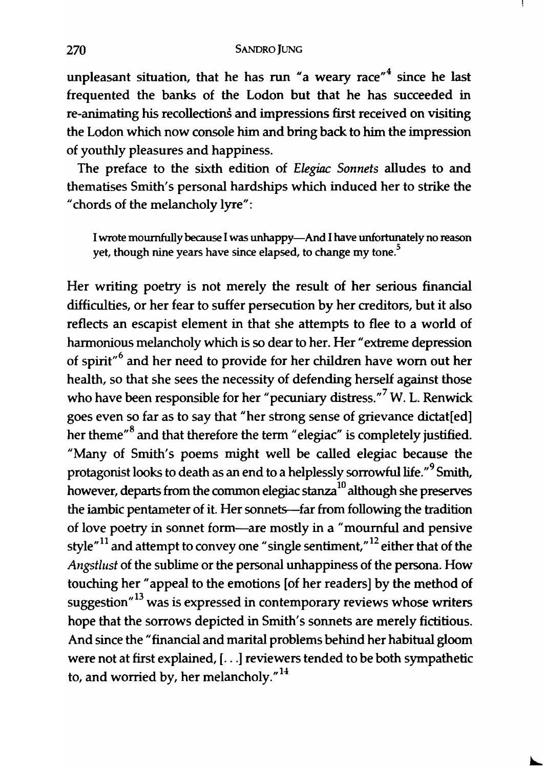unpleasant situation, that he has run "a weary race"<sup>4</sup> since he last frequented the banks of the Lodon but that he has succeeded in re-animating his recollections and impressions first received on visiting the Lodon which now console him and bring back to him the impression of youthly pleasures and happiness.

The preface to the sixth edition of *Elegiac Sonnets* alludes to and thematises Smith's personal hardships which induced her to strike the "chords of the melancholy lyre":

I wrote mournfully because I was unhappy-And I have unfortunately no reason yet, though nine years have since elapsed, to change my tone.<sup>5</sup>

Her writing poetry is not merely the result of her serious financial difficulties, or her fear to suffer persecution by her creditors, but it also reflects an escapist element in that she attempts to flee to a world of harmonious melancholy which is so dear to her. Her "extreme depression of spirit"<sup>6</sup> and her need to provide for her children have worn out her health, so that she sees the necessity of defending herself against those who have been responsible for her "pecuniary distress."<sup>7</sup> W. L. Renwick goes even so far as to say that "her strong sense of grievance dictat[ed] her theme<sup>"8</sup> and that therefore the term "elegiac" is completely justified. "Many of Smith's poems might well be called elegiac because the protagonist looks to death as an end to a helplessly sorrowful life."<sup>9</sup> Smith, however, departs from the common elegiac stanza<sup>10</sup> although she preserves the iambic pentameter of it. Her sonnets-far from following the tradition of love poetry in sonnet form-are mostly in a "mournful and pensive style $n^{11}$  and attempt to convey one "single sentiment,"<sup>12</sup> either that of the *Angstlust* of the sublime or the personal unhappiness of the persona. How touching her "appeal to the emotions [of her readers] by the method of suggestion"<sup>13</sup> was is expressed in contemporary reviews whose writers hope that the sorrows depicted in Smith's sonnets are merely fictitious. And since the "financial and marital problems behind her habitual gloom were not at first explained, [...] reviewers tended to be both sympathetic to, and worried by, her melancholy. $1<sup>14</sup>$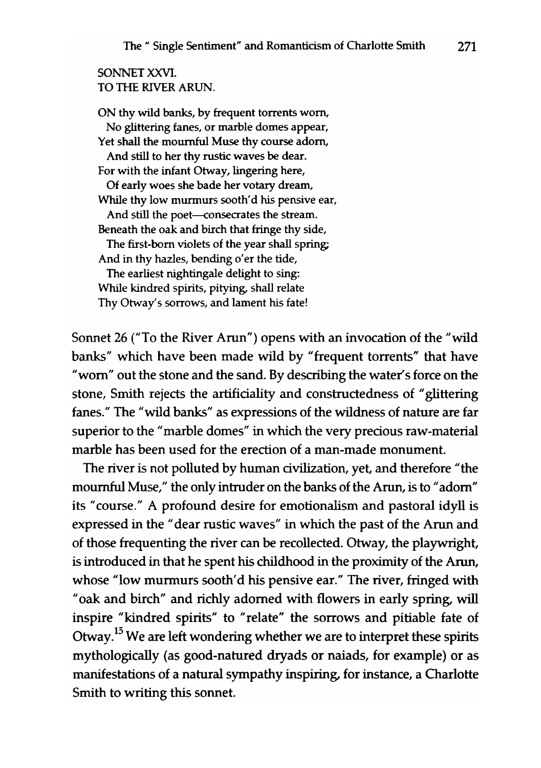### SONNET XXVI. TO THE RIVER ARUN.

ON thy wild banks, by frequent torrents worn, No glittering fanes, or marble domes appear, Yet shall the mournful Muse thy course adorn, And still to her thy rustic waves be dear. For with the infant Otway, lingering here, Of early woes she bade her votary dream, While thy low murmurs sooth'd his pensive ear, And still the poet--consecrates the stream. Beneath the oak and birch that fringe thy side, The first-born violets of the year shall spring; And in thy hazles, bending o'er the tide, The earliest nightingale delight to sing: While kindred spirits, pitying, shall relate Thy Otway's sorrows, and lament his fate!

Sonnet 26 ("To the River Arun") opens with an invocation of the "wild banks" which have been made wild by "frequent torrents" that have "worn" out the stone and the sand. By describing the water's force on the stone, Smith rejects the artificiality and constructedness of "glittering fanes." The "wild banks" as expressions of the wildness of nature are far superior to the "marble domes" in which the very precious raw-material marble has been used for the erection of a man-made monument.

The river is not polluted by human civilization, yet, and therefore "the mournful Muse," the only intruder on the banks of the Arun, is to "adorn" its" course." A profound desire for emotionalism and pastoral idyll is expressed in the "dear rustic waves" in which the past of the Arun and of those frequenting the river can be recollected. Otway, the playwright, is introduced in that he spent his childhood in the proximity of the Arun, whose "low murmurs sooth'd his pensive ear." The river, fringed with "oak and birch" and richly adorned with flowers in early spring, will inspire "kindred spirits" to "relate" the sorrows and pitiable fate of Otway.<sup>15</sup> We are left wondering whether we are to interpret these spirits mythologically (as good-natured dryads or naiads, for example) or as manifestations of a natural sympathy inspiring, for instance, a Charlotte Smith to writing this sonnet.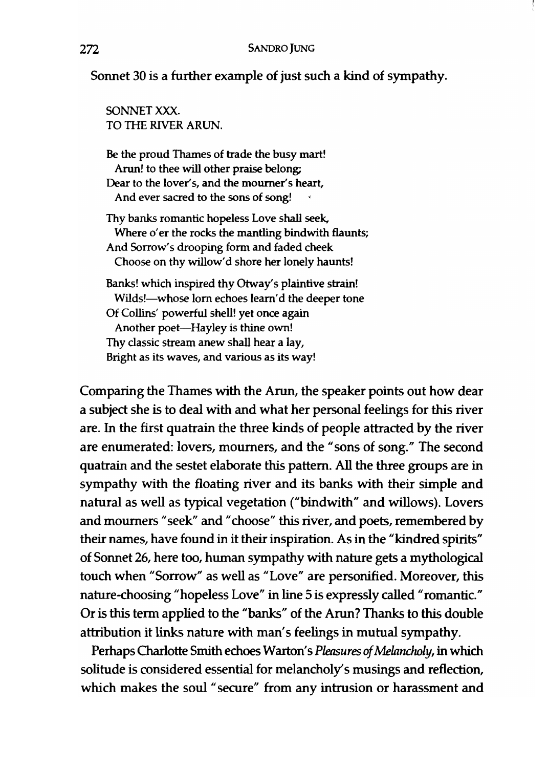r

## Sonnet 30 is a further example of just such a kind of sympathy.

SONNET XXX. TO THE RIVER ARUN.

Be the proud Thames of trade the busy mart! Arun! to thee will other praise belong; Dear to the lover's, and the mourner's heart, And ever sacred to the sons of song!

Thy banks romantic hopeless Love shall seek, Where o'er the rocks the mantling bindwith flaunts; And Sorrow's drooping form and faded cheek Choose on thy willow'd shore her lonely haunts!

Banks! which inspired thy Otway's plaintive strain! Wilds!-whose lorn echoes learn'd the deeper tone Of Collins' powerful shell! yet once again Another poet-Hayley is thine own! Thy classic stream anew shall hear a lay, Bright as its waves, and various as its way!

Comparing the Thames with the Arun, the speaker points out how dear a subject she is to deal with and what her personal feelings for this river are. In the first quatrain the three kinds of people attracted by the river are enumerated: lovers, mourners, and the "sons of song." The second quatrain and the sestet elaborate this pattern. All the three groups are in sympathy with the floating river and its banks with their simple and natural as well as typical vegetation ("bindwith" and willows). Lovers and mourners "seek" and "choose" this river, and poets, remembered by their names, have found in it their inspiration. As in the "kindred spirits" of Sonnet 26, here too, human sympathy with nature gets a mythological touch when "Sorrow" as well as "Love" are personified. Moreover, this nature-choosing "hopeless Love" in line 5 is expressly called "romantic." Or is this term applied to the "banks" of the Arun? Thanks to this double attribution it links nature with man's feelings in mutual sympathy.

Perhaps Charlotte Smith echoes Warton's *Pleasures of Melancholy,* in which solitude is considered essential for melancholy's musings and reflection, which makes the soul "secure" from any intrusion or harassment and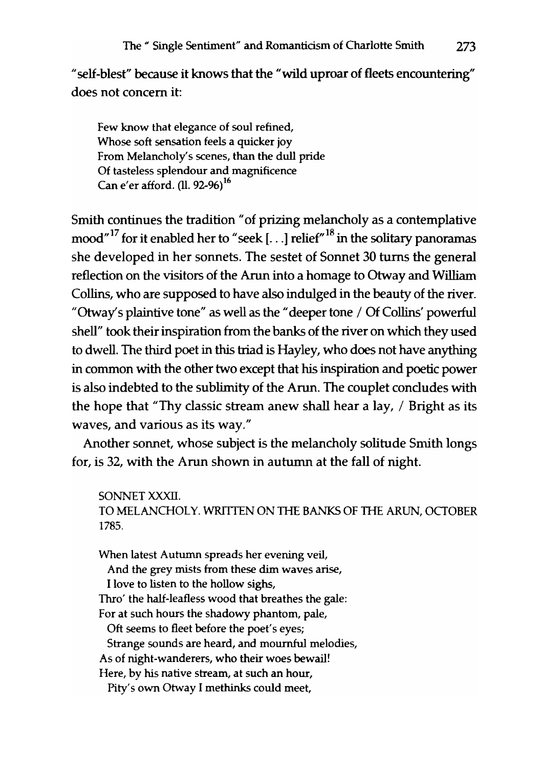"self-blest" because it knows that the "wild uproar of fleets encountering" does not concern it:

Few know that elegance of soul refined, Whose soft sensation feels a quicker joy From Melancholy's scenes, than the dull pride Of tasteless splendour and magnificence Can e'er afford. (ll. 92-96)<sup>16</sup>

Smith continues the tradition" of prizing melancholy as a contemplative mood"<sup>17</sup> for it enabled her to "seek [...] relief"<sup>18</sup> in the solitary panoramas she developed in her sonnets. The sestet of Sonnet 30 turns the general reflection on the visitors of the Arun into a homage to Otway and William Collins, who are supposed to have also indulged in the beauty of the river. "Otway's plaintive tone" as well as the "deeper tone / Of Collins' powerful shell" took their inspiration from the banks of the river on which they used to dwell. The third poet in this triad is Hayley, who does not have anything in common with the other two except that his inspiration and poetic power is also indebted to the sublimity of the Arun. The couplet concludes with the hope that "Thy classic stream anew shall hear a lay, / Bright as its waves, and various as its way."

Another sonnet, whose subject is the melancholy solitude Smith longs for, is 32, with the Arun shown in autumn at the fall of night.

SONNET XXXII. TO MELANCHOLY. WRITTEN ON THE BANKS OF THE ARUN, OCTOBER 1785.

When latest Autumn spreads her evening veil, And the grey mists from these dim waves arise, I love to listen to the hollow sighs, Thro' the half-Ieafless wood that breathes the gale: For at such hours the shadowy phantom, pale, Oft seems to fleet before the poet's eyes; Strange sounds are heard, and mournful melodies, As of night-wanderers, who their woes bewail! Here, by his native stream, at such an hour, Pity's own Otway I methinks could meet,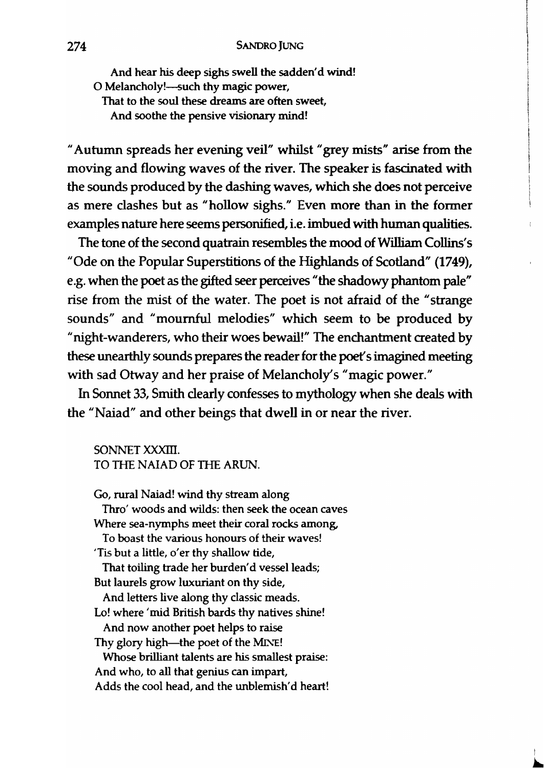And hear his deep sighs swell the sadden'd wind! O Melancholy!-such thy magic power. That to the soul these dreams are often sweet, And soothe the pensive visionary mind!

" Autumn spreads her evening veil" whilst" grey mists" arise from the moving and flowing waves of the river. The speaker is fascinated with the sounds produced by the dashing waves, which she does not perceive as mere clashes but as "hollow sighs." Even more than in the former examples nature here seems personified, i.e. imbued with human qualities.

The tone of the second quatrain resembles the mood of William Collins's "Ode on the Popular Superstitions of the Highlands of Scotland" (1749), e.g. when the poet as the gifted seer perceives "the shadowy phantom pale" rise from the mist of the water. The poet is not afraid of the "strange sounds" and "mournful melodies" which seem to be produced by "night-wanderers, who their woes bewail!" The enchantment created by these unearthly sounds prepares the reader for the poet's imagined meeting with sad Otway and her praise of Melancholy's "magic power."

In Sonnet 33, Smith clearly confesses to mythology when she deals with the "Naiad" and other beings that dwell in or near the river.

SONNET XXXIII. TO THE NAIAD OF THE ARUN.

Go, rural Naiad! wind thy stream along Thro' woods and wilds: then seek the ocean caves Where sea-nymphs meet their coral rocks among, To boast the various honours of their waves! 'Tis but a little, o'er thy shallow tide, That toiling trade her burden'd vessel leads; But laurels grow luxuriant on thy side, And letters live along thy classic meads. Lo! where 'mid British bards thy natives shine! And now another poet helps to raise Thy glory high-the poet of the MINE! Whose brilliant talents are his smallest praise: And who, to all that genius can impart, Adds the cool head, and the unblemish'd heart!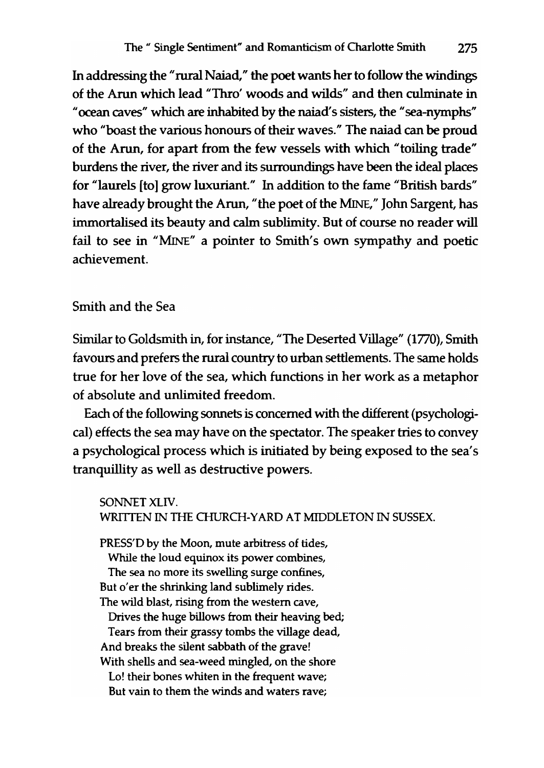In addressing the "rural Naiad," the poet wants her to follow the windings of the Arun which lead "Thro' woods and wilds" and then culminate in "ocean caves" which are inhabited by the naiad's sisters, the "sea-nymphs" who "boast the various honours of their waves." The naiad can be proud of the Arun, for apart from the few vessels with which "toiling trade" burdens the river, the river and its surroundings have been the ideal places for "laurels [to] grow luxuriant." In addition to the fame "British bards" have already brought the Arun, "the poet of the MINE," John Sargent, has immortalised its beauty and calm sublimity. But of course no reader will fail to see in "MINE" a pointer to Smith's own sympathy and poetic achievement.

## Smith and the Sea

Similar to Goldsmith in, for instance, "The Deserted Village" (1770), Smith favours and prefers the rural country to urban settlements. The same holds true for her love of the sea, which functions in her work as a metaphor of absolute and unlimited freedom.

Each of the following sonnets is concerned with the different (psychological) effects the sea may have on the spectator. The speaker tries to convey a psychological process which is initiated by being exposed to the sea's tranquillity as well as destructive powers.

SONNET XlIV. WRITTEN IN THE CHURCH-YARD AT MIDDLETON IN SUSSEX.

PRESS'D by the Moon, mute arbitress of tides, While the loud equinox its power combines, The sea no more its swelling surge confines, But o'er the shrinking land sublimely rides. The wild blast, rising from the western cave, Drives the huge billows from their heaving bed; Tears from their grassy tombs the village dead, And breaks the silent sabbath of the grave! With shells and sea-weed mingled, on the shore Lo! their bones whiten in the frequent wave; But vain to them the winds and waters rave;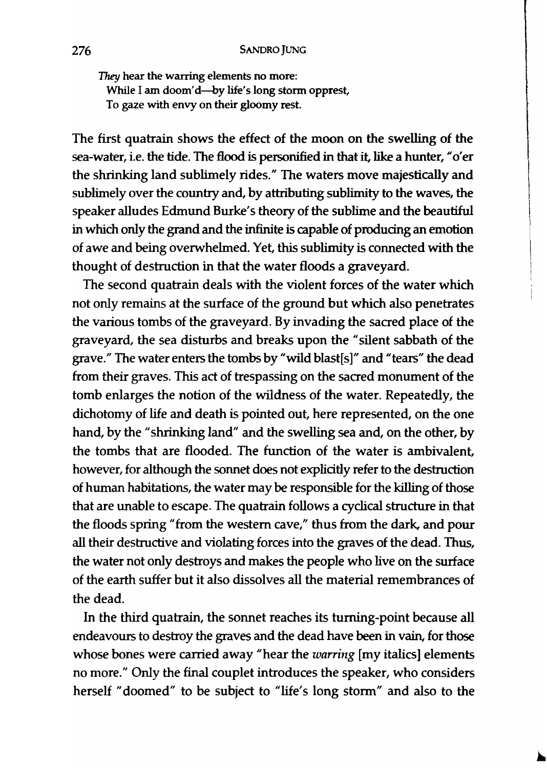*They* hear the warring elements no more: While I am doom'd-by life's long storm opprest, To gaze with envy on their gloomy rest.

The first quatrain shows the effect of the moon on the swelling of the sea-water, i.e. the tide. The flood is personified in that it, like a hunter, "o'er the shrinking land sublimely rides." The waters move majestically and sublimely over the country and, by attributing sublimity to the waves, the speaker alludes Edmund Burke's theory of the sublime and the beautiful in which only the grand and the infinite is capable of producing an emotion of awe and being overwhelmed. Yet, this sublimity is connected with the thought of destruction in that the water floods a graveyard.

The second quatrain deals with the violent forces of the water which not only remains at the surface of the ground but which also penetrates the various tombs of the graveyard. By invading the sacred place of the graveyard, the sea disturbs and breaks upon the "silent sabbath of the grave." The water enters the tombs by "wild blast[s]" and "tears" the dead from their graves. This act of trespassing on the sacred monument of the tomb enlarges the notion of the wildness of the water. Repeatedly, the dichotomy of life and death is pointed out, here represented, on the one hand, by the "shrinking land" and the swelling sea and, on the other, by the tombs that are flooded. The function of the water is ambivalent, however, for although the sonnet does not explicitly refer to the destruction of human habitations, the water may be responsible for the killing of those that are unable to escape. The quatrain follows a cyclical structure in that the floods spring "from the western cave," thus from the dark. and pour all their destructive and violating forces into the graves of the dead. Thus, the water not only destroys and makes the people who live on the surface of the earth suffer but it also dissolves all the material remembrances of the dead.

In the third quatrain, the sonnet reaches its turning-point because all endeavours to destroy the graves and the dead have been in vain, for those whose bones were carried away "hear the *warring* [my italics] elements no more." Only the final couplet introduces the speaker, who considers herself "doomed" to be subject to "life's long storm" and also to the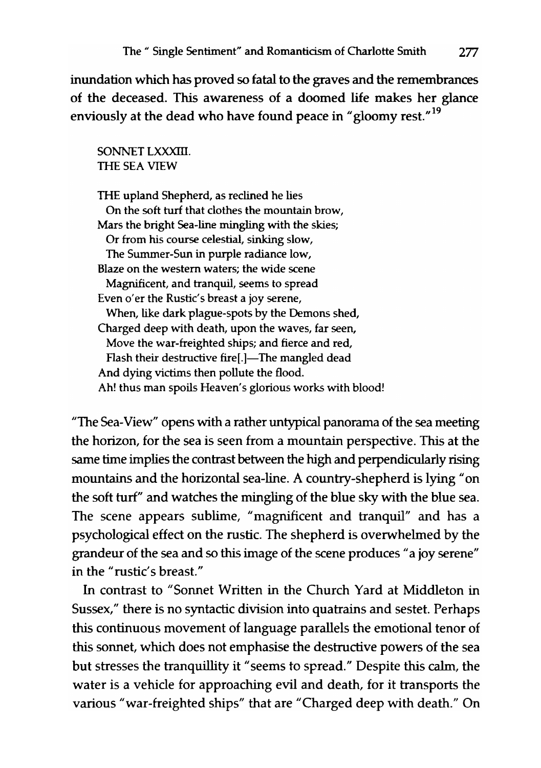inundation which has proved so fatal to the graves and the remembrances of the deceased. This awareness of a doomed life makes her glance enviously at the dead who have found peace in "gloomy rest."<sup>19</sup>

#### SONNET LXXXIII. THE SEA VIEW

THE upland Shepherd, as reclined he lies On the soft turf that clothes the mountain brow, Mars the bright Sea-line mingling with the skies; Or from his course celestial, sinking slow, The Summer-Sun in purple radiance low, Blaze on the western waters; the wide scene Magnificent, and tranquil, seems to spread Even o'er the Rustic's breast a joy serene, When, like dark plague-spots by the Demons shed, Charged deep with death, upon the waves, far seen, Move the war-freighted ships; and fierce and red, Flash their destructive fire[.]-The mangled dead And dying victims then pollute the flood. Ah! thus man spoils Heaven's glorious works with blood!

"The Sea-View" opens with a rather untypical panorama of the sea meeting the horizon, for the sea is seen from a mountain perspective. This at the same time implies the contrast between the high and perpendicularly rising mountains and the horizontal sea-line. A country-shepherd is lying" on the soft turf" and watches the mingling of the blue sky with the blue sea. The scene appears sublime, "magnificent and tranquil" and has a psychological effect on the rustic. The shepherd is overwhelmed by the grandeur of the sea and so this image of the scene produces "a joy serene" in the "rustic's breast."

In contrast to "Sonnet Written in the Church Yard at Middleton in Sussex," there is no syntactic division into quatrains and sestet. Perhaps this continuous movement of language parallels the emotional tenor of this sonnet, which does not emphasise the destructive powers of the sea but stresses the tranquillity it "seems to spread." Despite this calm, the water is a vehicle for approaching evil and death, for it transports the various "war-freighted ships" that are "Charged deep with death." On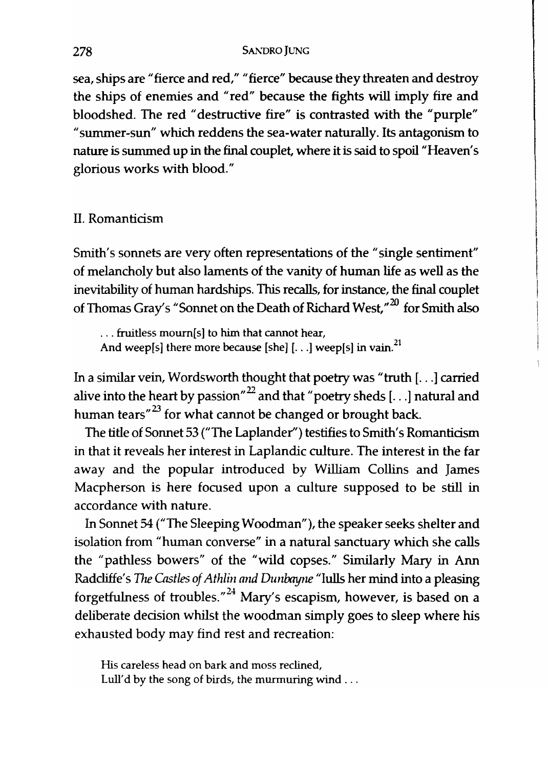sea, ships are "fierce and red," "fierce" because they threaten and destroy the ships of enemies and "red" because the fights will imply fire and bloodshed. The red "destructive fire" is contrasted with the "purple" "summer-sun" which reddens the sea-water naturally. Its antagonism to nature is summed up in the final couplet, where it is said to spoil "Heaven's glorious works with blood."

## II. Romanticism

Smith's sonnets are very often representations of the "single sentiment" of melancholy but also laments of the vanity of human life as well as the inevitability of human hardships. This recalls, for instance, the final couplet of Thomas Gray's "Sonnet on the Death of Richard West,"<sup>20</sup> for Smith also

... fruitless moum[s] to him that cannot hear, And weep[s] there more because [she] [...] weep[s] in vain.<sup>21</sup>

In a similar vein, Wordsworth thought that poetry was "truth [ ... ] carried alive into the heart by passion"<sup>22</sup> and that "poetry sheds [...] natural and human tears $n^{23}$  for what cannot be changed or brought back.

The title of Sonnet 53 ("The Laplander") testifies to Smith's Romanticism in that it reveals her interest in Laplandic culture. The interest in the far away and the popular introduced by William Collins and James Macpherson is here focused upon a culture supposed to be still in accordance with nature.

In Sonnet 54 ("The Sleeping Woodman"), the speaker seeks shelter and isolation from "human converse" in a natural sanctuary which she calls the "pathless bowers" of the "wild copses." Similarly Mary in Ann Radcliffe's The Castles of Athlin and Dunbayne "lulls her mind into a pleasing forgetfulness of troubles."<sup>24</sup> Mary's escapism, however, is based on a deliberate decision whilst the woodman simply goes to sleep where his exhausted body may find rest and recreation:

His careless head on bark and moss reclined, Lull'd by the song of birds, the murmuring wind ...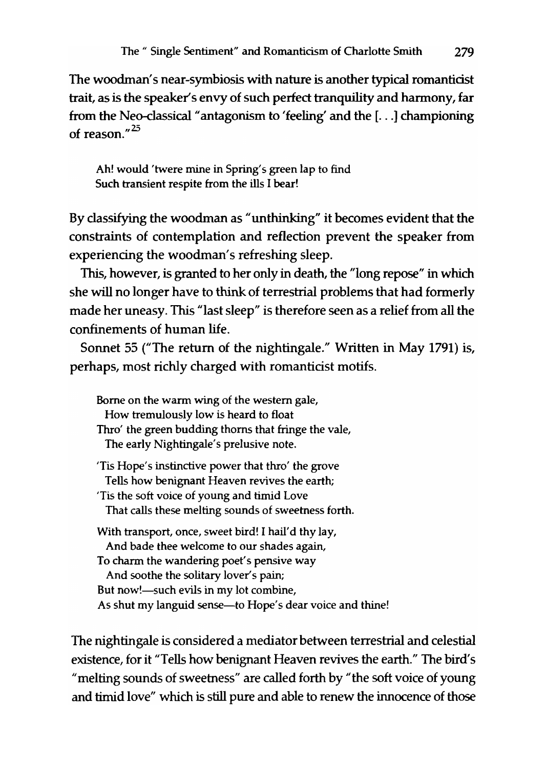The woodman's near-symbiosis with nature is another typical romantidst trait, as is the speaker's envy of such perfect tranquility and harmony, far from the Neo-classical "antagonism to 'feeling' and the [ ... ] championing of reason." $25$ 

Ah! would 'twere mine in Spring's green lap to find Such transient respite from the ills I bear!

By classifying the woodman as "unthinking" it becomes evident that the constraints of contemplation and reflection prevent the speaker from experiencing the woodman's refreshing sleep.

This, however, is granted to her only in death, the "long repose" in which she will no longer have to think of terrestrial problems that had formerly made her uneasy. This "last sleep" is therefore seen as a relief from all the confinements of human life.

Sonnet 55 ("The return of the nightingale." Written in May 1791) is, perhaps, most richly charged with romanticist motifs.

Borne on the warm wing of the western gale, How tremulously low is heard to float Thro' the green budding thorns that fringe the vale, The early Nightingale's prelusive note. 'Tis Hope's instinctive power that thro' the grove Tells how benignant Heaven revives the earth; 'Tis the soft voice of young and timid Love That calls these melting sounds of sweetness forth. With transport, once, sweet bird! I hail'd thy lay, And bade thee welcome to our shades again, To charm the wandering poet's pensive way And soothe the solitary lover's pain; But now!—such evils in my lot combine, As shut my languid sense—to Hope's dear voice and thine!

The nightingale is considered a mediator between terrestrial and celestial existence, for it "Tells how benignant Heaven revives the earth." The bird's "melting sounds of sweetness" are called forth by "the soft voice of young and timid love" which is still pure and able to renew the innocence of those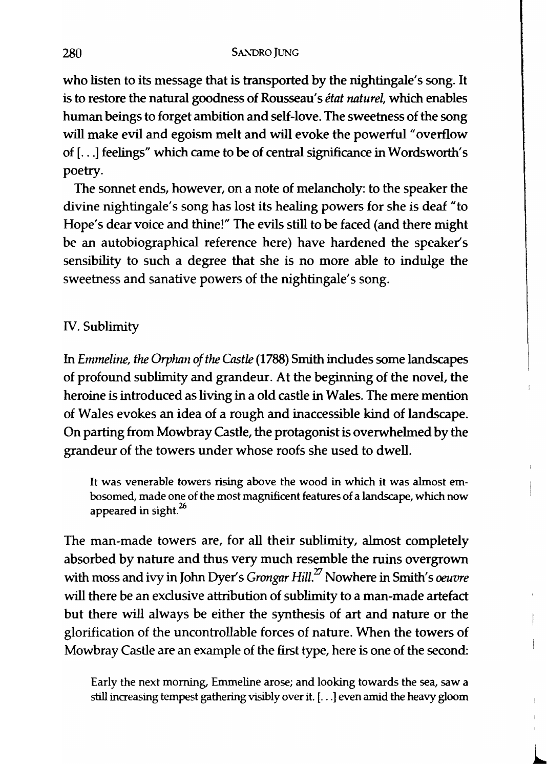who listen to its message that is transported by the nightingale's song. It is to restore the natural goodness of Rousseau's *état naturel*, which enables human beings to forget ambition and self-love. The sweetness of the song will make evil and egoism melt and will evoke the powerful "overflow of [ ... ] feelings" which came to be of central significance in Wordsworth's poetry.

The sonnet ends, however, on a note of melancholy: to the speaker the divine nightingale's song has lost its healing powers for she is deaf "to Hope's dear voice and thine!" The evils still to be faced (and there might be an autobiographical reference here) have hardened the speaker's sensibility to such a degree that she is no more able to indulge the sweetness and sanative powers of the nightingale's song.

### IV. Sublimity

In *Emmeline, the Orphan of the Castle* (1788) Smith includes some landscapes of profound sublimity and grandeur. At the beginning of the novel, the heroine is introduced as living in a old castle in Wales. The mere mention of Wales evokes an idea of a rough and inaccessible kind of landscape. On parting from Mowbray Castle, the protagonist is overwhelmed by the grandeur of the towers under whose roofs she used to dwell.

It was venerable towers rising above the wood in which it was almost embosomed, made one of the most magnificent features of a landscape, which now appeared in sight. $^{26}$ 

The man-made towers are, for all their sublimity, almost completely absorbed by nature and thus very much resemble the ruins overgrown with moss and ivy in John Dyer's *Grongar Hill*.<sup>27</sup> Nowhere in Smith's *oeuvre* will there be an exclusive attribution of sublimity to a man-made artefact but there will always be either the synthesis of art and nature or the glorification of the uncontrollable forces of nature. When the towers of Mowbray Castle are an example of the first type, here is one of the second:

Early the next morning, Emmeline arose; and looking towards the sea, saw a still increasing tempest gathering visibly over it. [ ... ] even amid the heavy gloom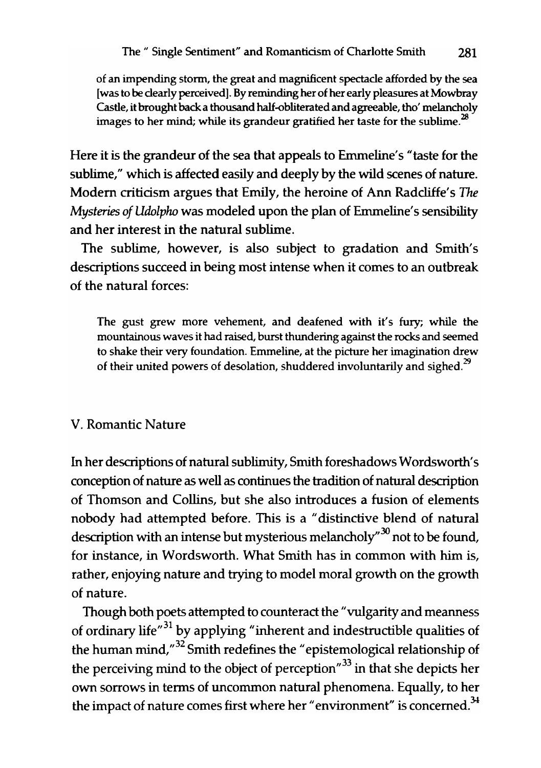of an impending storm, the great and magnificent spectacle afforded by the sea [was to be clearly perceived]. By reminding her of her early pleasures at Mowbray Castle, it brought back a thousand half-obliterated and agreeable, tho' melancholy images to her mind; while its grandeur gratified her taste for the sublime. $^{28}$ 

Here it is the grandeur of the sea that appeals to Emmeline's "taste for the sublime," which is affected easily and deeply by the wild scenes of nature. Modem criticism argues that Ernily, the heroine of Ann Radcliffe's *The Mysteries of Udolpho* was modeled upon the plan of Emmeline's sensibility and her interest in the natural sublime.

The sublime, however, is also subject to gradation and Smith's descriptions succeed in being most intense when it comes to an outbreak of the natural forces:

The gust grew more vehement, and deafened with it's fury; while the mountainous waves it had raised, burst thundering against the rocks and seemed to shake their very foundation. Emmeline, at the picture her imagination drew of their united powers of desolation, shuddered involuntarily and sighed.<sup>29</sup>

## v. Romantic Nature

In her descriptions of natural sublimity, Smith foreshadows Wordsworth's conception of nature as well as continues the tradition of natural description of Thomson and Collins, but she also introduces a fusion of elements nobody had attempted before. This is a "distinctive blend of natural description with an intense but mysterious melancholy<sup> $30$ </sup> not to be found, for instance, in Wordsworth. What Smith has in common with him is, rather, enjoying nature and trying to model moral growth on the growth of nature.

Though both poets attempted to counteract the "vulgarity and meanness of ordinary life $n^{31}$  by applying "inherent and indestructible qualities of the human mind," 32 Smith redefines the "epistemological relationship of the perceiving mind to the object of perception"<sup>33</sup> in that she depicts her own sorrows in terms of uncommon natural phenomena. Equally, to her the impact of nature comes first where her "environment" is concerned.<sup>34</sup>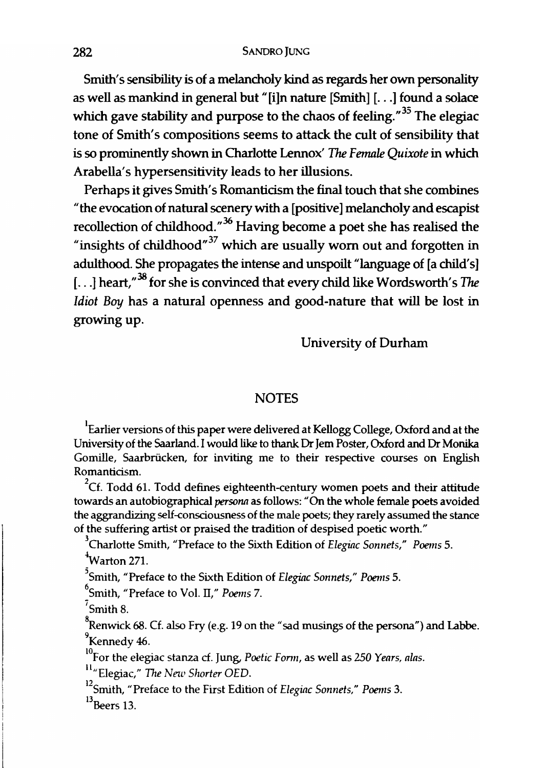Smith's sensibility is of a melancholy kind as regards her own personality as well as mankind in general but "[i]n nature [Smith] [...] found a solace which gave stability and purpose to the chaos of feeling."<sup>35</sup> The elegiac tone of Smith's compositions seems to attack the cult of sensibility that is so prominently shown in Charlotte Lennox' The *Female Quixote* in which Arabella's hypersensitivity leads to her illusions.

Perhaps it gives Smith's Romanticism the final touch that she combines "the evocation of natural scenery with a [positive] melancholy and escapist recollection of childhood."<sup>36</sup> Having become a poet she has realised the "insights of childhood"<sup>37</sup> which are usually worn out and forgotten in adulthood. She propagates the intense and unspoilt "language of [a child's] [ $\ldots$ ] heart." <sup>38</sup> for she is convinced that every child like Words worth's The *Idiot Boy* has a natural openness and good-nature that will be lost in growing up.

University of Durham

#### **NOTES**

<sup>1</sup>Earlier versions of this paper were delivered at Kellogg College, Oxford and at the University of the Saarland. I would like to thank Dr Jem Poster, Oxford and Dr Monika Gomille, Saarbriicken, for inviting me to their respective courses on English Romanticism.

 $^{2}$ Cf. Todd 61. Todd defines eighteenth-century women poets and their attitude towards an autobiographical *personn* as follows: "On the whole female poets avoided the aggrandizing self-consciousness of the male poets; they rarely assumed the stance of the suffering artist or praised the tradition of despised poetic worth."

3Charlotte Smith, "Preface to the Sixth Edition of *Elegiac Sonnets," Poems 5.*   $v^4$ Warton 271.

5Smith, "Preface to the Sixth Edition of *Elegiac Sonnets," Poems 5.* 

6Smith, "Preface to Vol. IT," *Poems 7.* 

 $7$ Smith 8.

<sup>8</sup>Renwick 68. Cf. also Fry (e.g. 19 on the "sad musings of the persona") and Labbe.<br><sup>9</sup>Kennedy 46.

<sup>10</sup>For the elegiac stanza cf. Jung, *Poetic Form*, as well as 250 *Years, alas.* 

ll"Elegiac," *The New Shorter QED.* 

12Smith, "Preface to the First Edition of *Eleginc Sonnets," Poems 3.*   $^{13}$ Beers 13.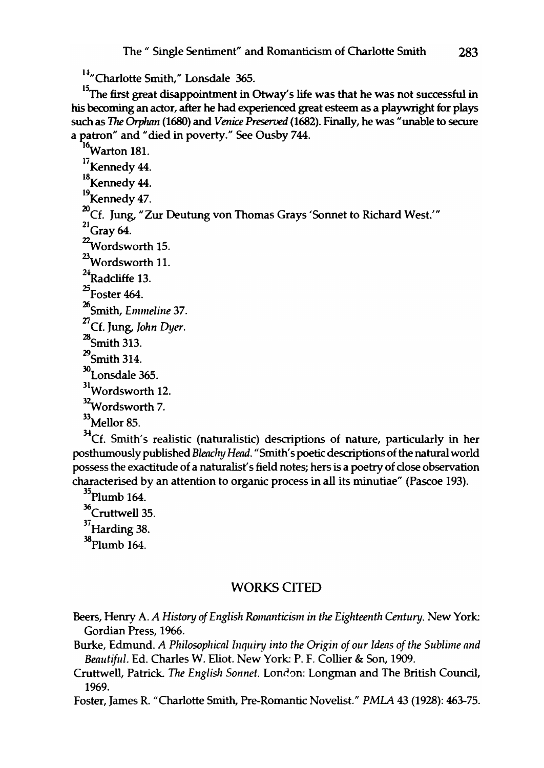<sup>14</sup>"Charlotte Smith," Lonsdale 365.

<sup>15</sup>The first great disappointment in Otway's life was that he was not successful in his becoming an actor, after he had experienced great esteem as a playwright for plays such as The *Orphan* (1680) and *Venice Preserved* (1682). Finally, he was "unable to secure a patron" and "died in poverty." See Ousby 744.

<sup>16</sup>Warton 181.  $^{17}$ Kennedy 44.<br><sup>18</sup> Kennedy 44. <sup>19</sup> Kennedy 47. <sup>20</sup>Cf. Jung, "Zur Deutung von Thomas Grays 'Sonnet to Richard West.'"  $^{21}$ Gray 64.  $22$ Wordsworth 15. 23Wordsworth 11.  $^{24}$ Radcliffe 13.  $^{25}$ Foster 464. <sup>26</sup>Smith, *Emmeline 37.*  <sup>27</sup>Cf. Jung, *John Dyer.*   $^{28}$ Smith 313.  $^{29}$ Smith 314. 3OLonsdale 365. 31Wordsworth 12. <sup>32</sup>Wordsworth 7. 33Mellor 85.

 $34$ Cf. Smith's realistic (naturalistic) descriptions of nature, particularly in her posthumously published *Blenchy Head.* "Smith's poetic descriptions of the natural world possess the exactitude of a naturalist's field notes; hers is a poetry of close observation characterised by an attention to organic process in all its minutiae" (Pascoe 193).

 $35$ Plumb 164. <sup>36</sup>Cruttwell 35.  $37$ Harding 38. 38Plumb 164.

#### WORKS CITED

- Beers, Henry A. *A History of English Romanticism in the Eighteenth Century*. New York: Gordian Press, 1966.
- Burke, Edmund. *A Philosophical Inquiry into the Origin of our Ideas of the Sublime and Beautiful.* Ed. Charles W. Eliot. New York: P. F. Collier & Son, 1909.
- Cruttwell, Patrick. The *English Sonnet.* Longman and The British Council, 1969.

Foster, James R. "Charlotte Smith, Pre-Romantic Novelist." *PMLA* 43 (1928): 463-75.